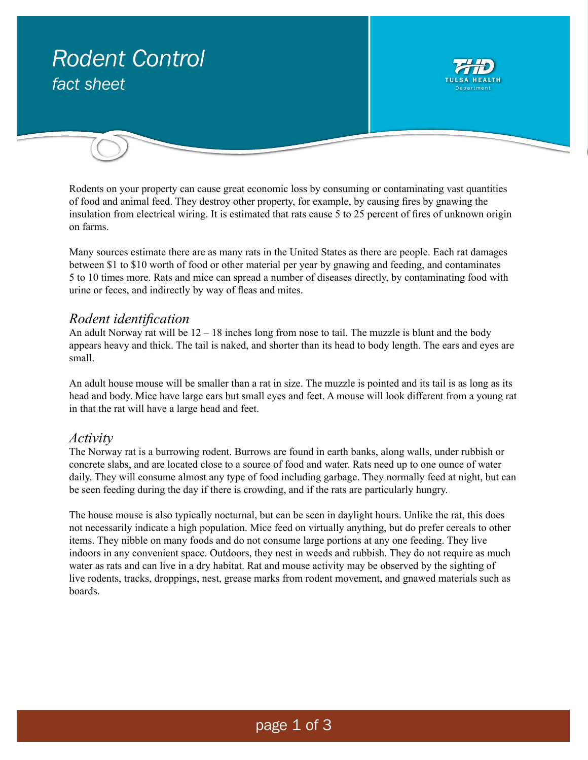# *Rodent Control* fact sheet Department

Rodents on your property can cause great economic loss by consuming or contaminating vast quantities of food and animal feed. They destroy other property, for example, by causing fires by gnawing the insulation from electrical wiring. It is estimated that rats cause 5 to 25 percent of fires of unknown origin on farms.

Many sources estimate there are as many rats in the United States as there are people. Each rat damages between \$1 to \$10 worth of food or other material per year by gnawing and feeding, and contaminates 5 to 10 times more. Rats and mice can spread a number of diseases directly, by contaminating food with urine or feces, and indirectly by way of fleas and mites.

#### *Rodent identification*

An adult Norway rat will be 12 – 18 inches long from nose to tail. The muzzle is blunt and the body appears heavy and thick. The tail is naked, and shorter than its head to body length. The ears and eyes are small.

An adult house mouse will be smaller than a rat in size. The muzzle is pointed and its tail is as long as its head and body. Mice have large ears but small eyes and feet. A mouse will look different from a young rat in that the rat will have a large head and feet.

## *Activity*

The Norway rat is a burrowing rodent. Burrows are found in earth banks, along walls, under rubbish or concrete slabs, and are located close to a source of food and water. Rats need up to one ounce of water daily. They will consume almost any type of food including garbage. They normally feed at night, but can be seen feeding during the day if there is crowding, and if the rats are particularly hungry.

The house mouse is also typically nocturnal, but can be seen in daylight hours. Unlike the rat, this does not necessarily indicate a high population. Mice feed on virtually anything, but do prefer cereals to other items. They nibble on many foods and do not consume large portions at any one feeding. They live indoors in any convenient space. Outdoors, they nest in weeds and rubbish. They do not require as much water as rats and can live in a dry habitat. Rat and mouse activity may be observed by the sighting of live rodents, tracks, droppings, nest, grease marks from rodent movement, and gnawed materials such as boards.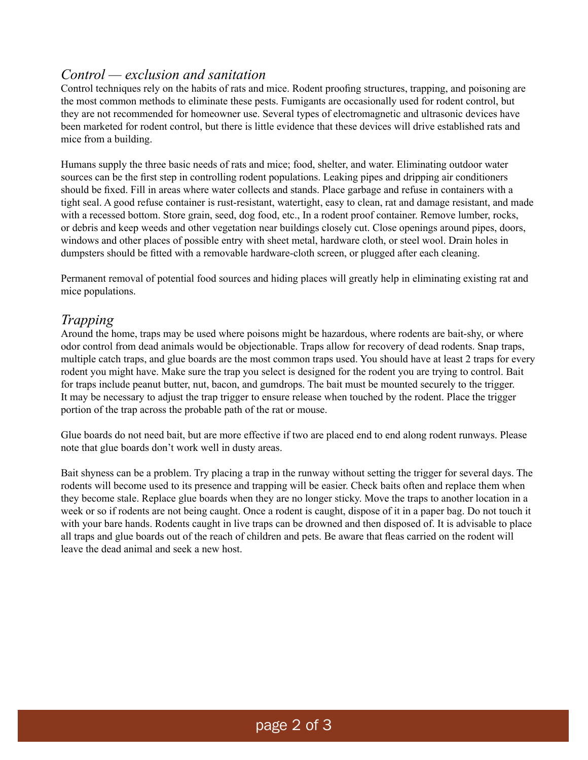## *Control — exclusion and sanitation*

Control techniques rely on the habits of rats and mice. Rodent proofing structures, trapping, and poisoning are the most common methods to eliminate these pests. Fumigants are occasionally used for rodent control, but they are not recommended for homeowner use. Several types of electromagnetic and ultrasonic devices have been marketed for rodent control, but there is little evidence that these devices will drive established rats and mice from a building.

Humans supply the three basic needs of rats and mice; food, shelter, and water. Eliminating outdoor water sources can be the first step in controlling rodent populations. Leaking pipes and dripping air conditioners should be fixed. Fill in areas where water collects and stands. Place garbage and refuse in containers with a tight seal. A good refuse container is rust-resistant, watertight, easy to clean, rat and damage resistant, and made with a recessed bottom. Store grain, seed, dog food, etc., In a rodent proof container. Remove lumber, rocks, or debris and keep weeds and other vegetation near buildings closely cut. Close openings around pipes, doors, windows and other places of possible entry with sheet metal, hardware cloth, or steel wool. Drain holes in dumpsters should be fitted with a removable hardware-cloth screen, or plugged after each cleaning.

Permanent removal of potential food sources and hiding places will greatly help in eliminating existing rat and mice populations.

## *Trapping*

Around the home, traps may be used where poisons might be hazardous, where rodents are bait-shy, or where odor control from dead animals would be objectionable. Traps allow for recovery of dead rodents. Snap traps, multiple catch traps, and glue boards are the most common traps used. You should have at least 2 traps for every rodent you might have. Make sure the trap you select is designed for the rodent you are trying to control. Bait for traps include peanut butter, nut, bacon, and gumdrops. The bait must be mounted securely to the trigger. It may be necessary to adjust the trap trigger to ensure release when touched by the rodent. Place the trigger portion of the trap across the probable path of the rat or mouse.

Glue boards do not need bait, but are more effective if two are placed end to end along rodent runways. Please note that glue boards don't work well in dusty areas.

Bait shyness can be a problem. Try placing a trap in the runway without setting the trigger for several days. The rodents will become used to its presence and trapping will be easier. Check baits often and replace them when they become stale. Replace glue boards when they are no longer sticky. Move the traps to another location in a week or so if rodents are not being caught. Once a rodent is caught, dispose of it in a paper bag. Do not touch it with your bare hands. Rodents caught in live traps can be drowned and then disposed of. It is advisable to place all traps and glue boards out of the reach of children and pets. Be aware that fleas carried on the rodent will leave the dead animal and seek a new host.